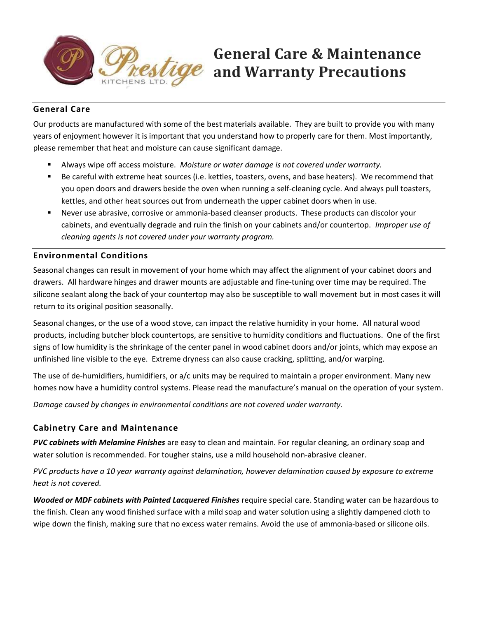

# General Care & Maintenance and Warranty Precautions

# General Care

Our products are manufactured with some of the best materials available. They are built to provide you with many years of enjoyment however it is important that you understand how to properly care for them. Most importantly, please remember that heat and moisture can cause significant damage.

- Always wipe off access moisture. Moisture or water damage is not covered under warranty.
- Be careful with extreme heat sources (i.e. kettles, toasters, ovens, and base heaters). We recommend that you open doors and drawers beside the oven when running a self-cleaning cycle. And always pull toasters, kettles, and other heat sources out from underneath the upper cabinet doors when in use.
- Never use abrasive, corrosive or ammonia-based cleanser products. These products can discolor your cabinets, and eventually degrade and ruin the finish on your cabinets and/or countertop. Improper use of cleaning agents is not covered under your warranty program.

#### Environmental Conditions

Seasonal changes can result in movement of your home which may affect the alignment of your cabinet doors and drawers. All hardware hinges and drawer mounts are adjustable and fine-tuning over time may be required. The silicone sealant along the back of your countertop may also be susceptible to wall movement but in most cases it will return to its original position seasonally.

Seasonal changes, or the use of a wood stove, can impact the relative humidity in your home. All natural wood products, including butcher block countertops, are sensitive to humidity conditions and fluctuations. One of the first signs of low humidity is the shrinkage of the center panel in wood cabinet doors and/or joints, which may expose an unfinished line visible to the eye. Extreme dryness can also cause cracking, splitting, and/or warping.

The use of de-humidifiers, humidifiers, or a/c units may be required to maintain a proper environment. Many new homes now have a humidity control systems. Please read the manufacture's manual on the operation of your system.

Damage caused by changes in environmental conditions are not covered under warranty.

#### Cabinetry Care and Maintenance

PVC cabinets with Melamine Finishes are easy to clean and maintain. For regular cleaning, an ordinary soap and water solution is recommended. For tougher stains, use a mild household non-abrasive cleaner.

PVC products have a 10 year warranty against delamination, however delamination caused by exposure to extreme heat is not covered.

Wooded or MDF cabinets with Painted Lacquered Finishes require special care. Standing water can be hazardous to the finish. Clean any wood finished surface with a mild soap and water solution using a slightly dampened cloth to wipe down the finish, making sure that no excess water remains. Avoid the use of ammonia-based or silicone oils.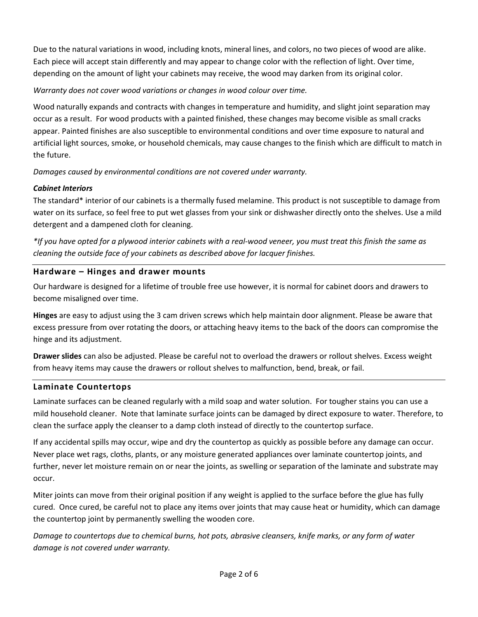Due to the natural variations in wood, including knots, mineral lines, and colors, no two pieces of wood are alike. Each piece will accept stain differently and may appear to change color with the reflection of light. Over time, depending on the amount of light your cabinets may receive, the wood may darken from its original color.

Warranty does not cover wood variations or changes in wood colour over time.

Wood naturally expands and contracts with changes in temperature and humidity, and slight joint separation may occur as a result. For wood products with a painted finished, these changes may become visible as small cracks appear. Painted finishes are also susceptible to environmental conditions and over time exposure to natural and artificial light sources, smoke, or household chemicals, may cause changes to the finish which are difficult to match in the future.

Damages caused by environmental conditions are not covered under warranty.

# Cabinet Interiors

The standard\* interior of our cabinets is a thermally fused melamine. This product is not susceptible to damage from water on its surface, so feel free to put wet glasses from your sink or dishwasher directly onto the shelves. Use a mild detergent and a dampened cloth for cleaning.

\*If you have opted for a plywood interior cabinets with a real-wood veneer, you must treat this finish the same as cleaning the outside face of your cabinets as described above for lacquer finishes.

# Hardware – Hinges and drawer mounts

Our hardware is designed for a lifetime of trouble free use however, it is normal for cabinet doors and drawers to become misaligned over time.

Hinges are easy to adjust using the 3 cam driven screws which help maintain door alignment. Please be aware that excess pressure from over rotating the doors, or attaching heavy items to the back of the doors can compromise the hinge and its adjustment.

Drawer slides can also be adjusted. Please be careful not to overload the drawers or rollout shelves. Excess weight from heavy items may cause the drawers or rollout shelves to malfunction, bend, break, or fail.

#### Laminate Countertops

Laminate surfaces can be cleaned regularly with a mild soap and water solution. For tougher stains you can use a mild household cleaner. Note that laminate surface joints can be damaged by direct exposure to water. Therefore, to clean the surface apply the cleanser to a damp cloth instead of directly to the countertop surface.

If any accidental spills may occur, wipe and dry the countertop as quickly as possible before any damage can occur. Never place wet rags, cloths, plants, or any moisture generated appliances over laminate countertop joints, and further, never let moisture remain on or near the joints, as swelling or separation of the laminate and substrate may occur.

Miter joints can move from their original position if any weight is applied to the surface before the glue has fully cured. Once cured, be careful not to place any items over joints that may cause heat or humidity, which can damage the countertop joint by permanently swelling the wooden core.

Damage to countertops due to chemical burns, hot pots, abrasive cleansers, knife marks, or any form of water damage is not covered under warranty.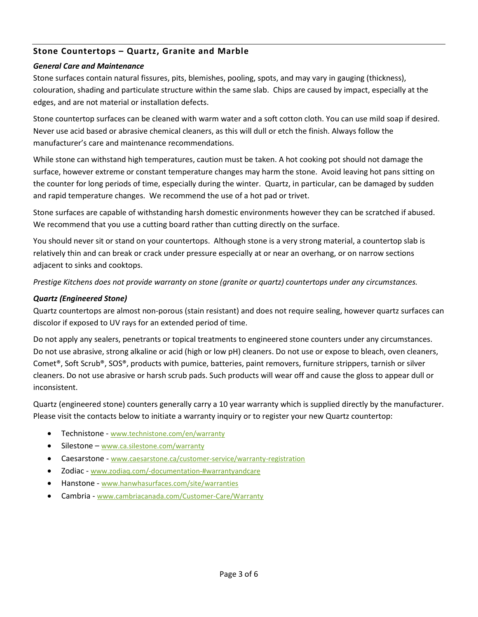# Stone Countertops – Quartz, Granite and Marble

#### General Care and Maintenance

Stone surfaces contain natural fissures, pits, blemishes, pooling, spots, and may vary in gauging (thickness), colouration, shading and particulate structure within the same slab. Chips are caused by impact, especially at the edges, and are not material or installation defects.

Stone countertop surfaces can be cleaned with warm water and a soft cotton cloth. You can use mild soap if desired. Never use acid based or abrasive chemical cleaners, as this will dull or etch the finish. Always follow the manufacturer's care and maintenance recommendations.

While stone can withstand high temperatures, caution must be taken. A hot cooking pot should not damage the surface, however extreme or constant temperature changes may harm the stone. Avoid leaving hot pans sitting on the counter for long periods of time, especially during the winter. Quartz, in particular, can be damaged by sudden and rapid temperature changes. We recommend the use of a hot pad or trivet.

Stone surfaces are capable of withstanding harsh domestic environments however they can be scratched if abused. We recommend that you use a cutting board rather than cutting directly on the surface.

You should never sit or stand on your countertops. Although stone is a very strong material, a countertop slab is relatively thin and can break or crack under pressure especially at or near an overhang, or on narrow sections adjacent to sinks and cooktops.

Prestige Kitchens does not provide warranty on stone (granite or quartz) countertops under any circumstances.

#### Quartz (Engineered Stone)

Quartz countertops are almost non-porous (stain resistant) and does not require sealing, however quartz surfaces can discolor if exposed to UV rays for an extended period of time.

Do not apply any sealers, penetrants or topical treatments to engineered stone counters under any circumstances. Do not use abrasive, strong alkaline or acid (high or low pH) cleaners. Do not use or expose to bleach, oven cleaners, Comet®, Soft Scrub®, SOS®, products with pumice, batteries, paint removers, furniture strippers, tarnish or silver cleaners. Do not use abrasive or harsh scrub pads. Such products will wear off and cause the gloss to appear dull or inconsistent.

Quartz (engineered stone) counters generally carry a 10 year warranty which is supplied directly by the manufacturer. Please visit the contacts below to initiate a warranty inquiry or to register your new Quartz countertop:

- Technistone www.technistone.com/en/warranty
- Silestone www.ca.silestone.com/warranty
- Caesarstone www.caesarstone.ca/customer-service/warranty-registration
- Zodiac www.zodiaq.com/-documentation-#warrantyandcare
- Hanstone www.hanwhasurfaces.com/site/warranties
- Cambria www.cambriacanada.com/Customer-Care/Warranty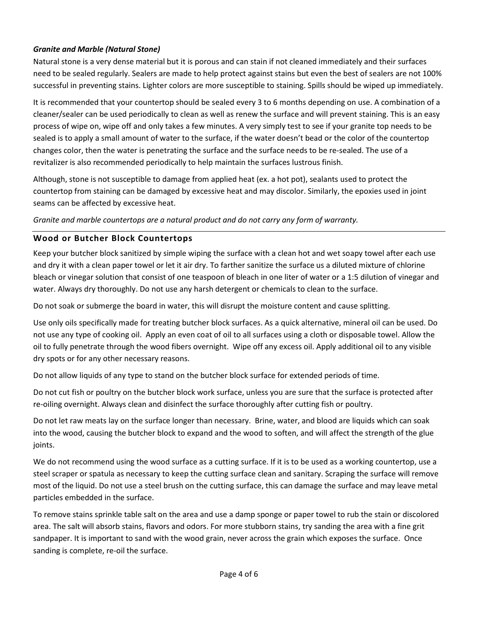# Granite and Marble (Natural Stone)

Natural stone is a very dense material but it is porous and can stain if not cleaned immediately and their surfaces need to be sealed regularly. Sealers are made to help protect against stains but even the best of sealers are not 100% successful in preventing stains. Lighter colors are more susceptible to staining. Spills should be wiped up immediately.

It is recommended that your countertop should be sealed every 3 to 6 months depending on use. A combination of a cleaner/sealer can be used periodically to clean as well as renew the surface and will prevent staining. This is an easy process of wipe on, wipe off and only takes a few minutes. A very simply test to see if your granite top needs to be sealed is to apply a small amount of water to the surface, if the water doesn't bead or the color of the countertop changes color, then the water is penetrating the surface and the surface needs to be re-sealed. The use of a revitalizer is also recommended periodically to help maintain the surfaces lustrous finish.

Although, stone is not susceptible to damage from applied heat (ex. a hot pot), sealants used to protect the countertop from staining can be damaged by excessive heat and may discolor. Similarly, the epoxies used in joint seams can be affected by excessive heat.

Granite and marble countertops are a natural product and do not carry any form of warranty.

# Wood or Butcher Block Countertops

Keep your butcher block sanitized by simple wiping the surface with a clean hot and wet soapy towel after each use and dry it with a clean paper towel or let it air dry. To farther sanitize the surface us a diluted mixture of chlorine bleach or vinegar solution that consist of one teaspoon of bleach in one liter of water or a 1:5 dilution of vinegar and water. Always dry thoroughly. Do not use any harsh detergent or chemicals to clean to the surface.

Do not soak or submerge the board in water, this will disrupt the moisture content and cause splitting.

Use only oils specifically made for treating butcher block surfaces. As a quick alternative, mineral oil can be used. Do not use any type of cooking oil. Apply an even coat of oil to all surfaces using a cloth or disposable towel. Allow the oil to fully penetrate through the wood fibers overnight. Wipe off any excess oil. Apply additional oil to any visible dry spots or for any other necessary reasons.

Do not allow liquids of any type to stand on the butcher block surface for extended periods of time.

Do not cut fish or poultry on the butcher block work surface, unless you are sure that the surface is protected after re-oiling overnight. Always clean and disinfect the surface thoroughly after cutting fish or poultry.

Do not let raw meats lay on the surface longer than necessary. Brine, water, and blood are liquids which can soak into the wood, causing the butcher block to expand and the wood to soften, and will affect the strength of the glue joints.

We do not recommend using the wood surface as a cutting surface. If it is to be used as a working countertop, use a steel scraper or spatula as necessary to keep the cutting surface clean and sanitary. Scraping the surface will remove most of the liquid. Do not use a steel brush on the cutting surface, this can damage the surface and may leave metal particles embedded in the surface.

To remove stains sprinkle table salt on the area and use a damp sponge or paper towel to rub the stain or discolored area. The salt will absorb stains, flavors and odors. For more stubborn stains, try sanding the area with a fine grit sandpaper. It is important to sand with the wood grain, never across the grain which exposes the surface. Once sanding is complete, re-oil the surface.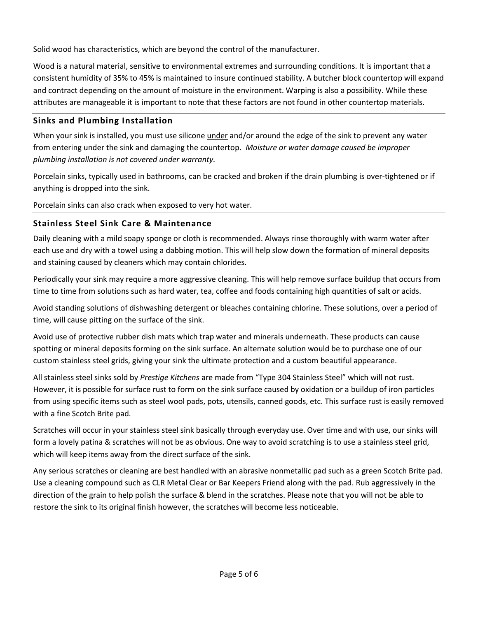Solid wood has characteristics, which are beyond the control of the manufacturer.

Wood is a natural material, sensitive to environmental extremes and surrounding conditions. It is important that a consistent humidity of 35% to 45% is maintained to insure continued stability. A butcher block countertop will expand and contract depending on the amount of moisture in the environment. Warping is also a possibility. While these attributes are manageable it is important to note that these factors are not found in other countertop materials.

### Sinks and Plumbing Installation

When your sink is installed, you must use silicone under and/or around the edge of the sink to prevent any water from entering under the sink and damaging the countertop. Moisture or water damage caused be improper plumbing installation is not covered under warranty.

Porcelain sinks, typically used in bathrooms, can be cracked and broken if the drain plumbing is over-tightened or if anything is dropped into the sink.

Porcelain sinks can also crack when exposed to very hot water.

# Stainless Steel Sink Care & Maintenance

Daily cleaning with a mild soapy sponge or cloth is recommended. Always rinse thoroughly with warm water after each use and dry with a towel using a dabbing motion. This will help slow down the formation of mineral deposits and staining caused by cleaners which may contain chlorides.

Periodically your sink may require a more aggressive cleaning. This will help remove surface buildup that occurs from time to time from solutions such as hard water, tea, coffee and foods containing high quantities of salt or acids.

Avoid standing solutions of dishwashing detergent or bleaches containing chlorine. These solutions, over a period of time, will cause pitting on the surface of the sink.

Avoid use of protective rubber dish mats which trap water and minerals underneath. These products can cause spotting or mineral deposits forming on the sink surface. An alternate solution would be to purchase one of our custom stainless steel grids, giving your sink the ultimate protection and a custom beautiful appearance.

All stainless steel sinks sold by Prestige Kitchens are made from "Type 304 Stainless Steel" which will not rust. However, it is possible for surface rust to form on the sink surface caused by oxidation or a buildup of iron particles from using specific items such as steel wool pads, pots, utensils, canned goods, etc. This surface rust is easily removed with a fine Scotch Brite pad.

Scratches will occur in your stainless steel sink basically through everyday use. Over time and with use, our sinks will form a lovely patina & scratches will not be as obvious. One way to avoid scratching is to use a stainless steel grid, which will keep items away from the direct surface of the sink.

Any serious scratches or cleaning are best handled with an abrasive nonmetallic pad such as a green Scotch Brite pad. Use a cleaning compound such as CLR Metal Clear or Bar Keepers Friend along with the pad. Rub aggressively in the direction of the grain to help polish the surface & blend in the scratches. Please note that you will not be able to restore the sink to its original finish however, the scratches will become less noticeable.